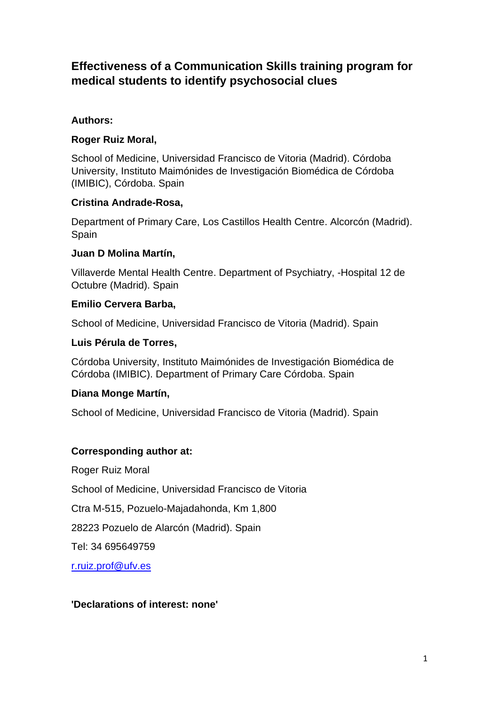# **Effectiveness of a Communication Skills training program for medical students to identify psychosocial clues**

### **Authors:**

### **Roger Ruiz Moral,**

School of Medicine, Universidad Francisco de Vitoria (Madrid). Córdoba University, Instituto Maimónides de Investigación Biomédica de Córdoba (IMIBIC), Córdoba. Spain

### **Cristina Andrade-Rosa,**

Department of Primary Care, Los Castillos Health Centre. Alcorcón (Madrid). **Spain** 

# **Juan D Molina Martín,**

Villaverde Mental Health Centre. Department of Psychiatry, -Hospital 12 de Octubre (Madrid). Spain

# **Emilio Cervera Barba,**

School of Medicine, Universidad Francisco de Vitoria (Madrid). Spain

# **Luis Pérula de Torres,**

Córdoba University, Instituto Maimónides de Investigación Biomédica de Córdoba (IMIBIC). Department of Primary Care Córdoba. Spain

### **Diana Monge Martín,**

School of Medicine, Universidad Francisco de Vitoria (Madrid). Spain

# **Corresponding author at:**

Roger Ruiz Moral School of Medicine, Universidad Francisco de Vitoria Ctra M-515, Pozuelo-Majadahonda, Km 1,800 28223 Pozuelo de Alarcón (Madrid). Spain Tel: 34 695649759

[r.ruiz.prof@ufv.es](mailto:r.ruiz.prof@ufv.es)

### **'Declarations of interest: none'**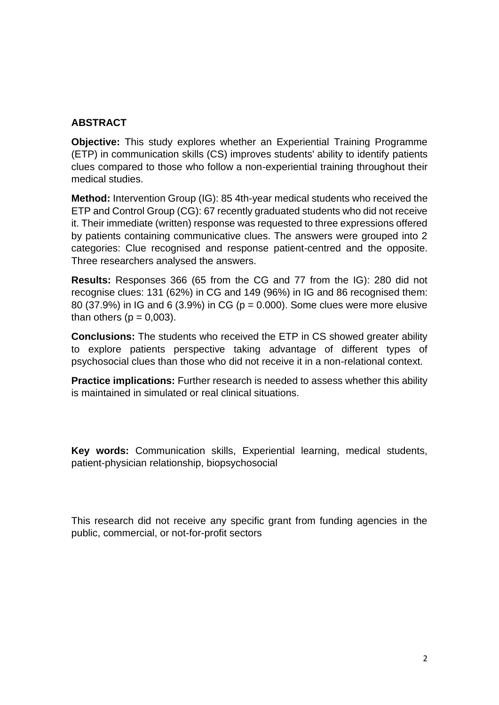#### **ABSTRACT**

**Objective:** This study explores whether an Experiential Training Programme (ETP) in communication skills (CS) improves students' ability to identify patients clues compared to those who follow a non-experiential training throughout their medical studies.

**Method:** Intervention Group (IG): 85 4th-year medical students who received the ETP and Control Group (CG): 67 recently graduated students who did not receive it. Their immediate (written) response was requested to three expressions offered by patients containing communicative clues. The answers were grouped into 2 categories: Clue recognised and response patient-centred and the opposite. Three researchers analysed the answers.

**Results:** Responses 366 (65 from the CG and 77 from the IG): 280 did not recognise clues: 131 (62%) in CG and 149 (96%) in IG and 86 recognised them: 80 (37.9%) in IG and 6 (3.9%) in CG (p = 0.000). Some clues were more elusive than others  $(p = 0.003)$ .

**Conclusions:** The students who received the ETP in CS showed greater ability to explore patients perspective taking advantage of different types of psychosocial clues than those who did not receive it in a non-relational context.

**Practice implications:** Further research is needed to assess whether this ability is maintained in simulated or real clinical situations.

**Key words:** Communication skills, Experiential learning, medical students, patient-physician relationship, biopsychosocial

This research did not receive any specific grant from funding agencies in the public, commercial, or not-for-profit sectors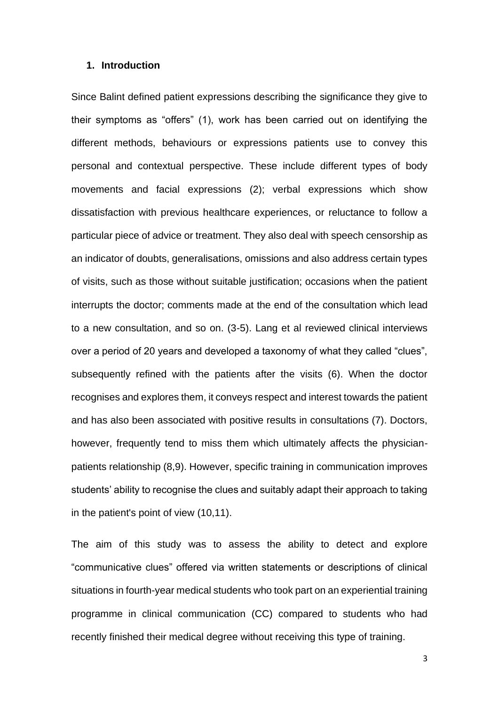#### **1. Introduction**

Since Balint defined patient expressions describing the significance they give to their symptoms as "offers" (1), work has been carried out on identifying the different methods, behaviours or expressions patients use to convey this personal and contextual perspective. These include different types of body movements and facial expressions (2); verbal expressions which show dissatisfaction with previous healthcare experiences, or reluctance to follow a particular piece of advice or treatment. They also deal with speech censorship as an indicator of doubts, generalisations, omissions and also address certain types of visits, such as those without suitable justification; occasions when the patient interrupts the doctor; comments made at the end of the consultation which lead to a new consultation, and so on. (3-5). Lang et al reviewed clinical interviews over a period of 20 years and developed a taxonomy of what they called "clues", subsequently refined with the patients after the visits (6). When the doctor recognises and explores them, it conveys respect and interest towards the patient and has also been associated with positive results in consultations (7). Doctors, however, frequently tend to miss them which ultimately affects the physicianpatients relationship (8,9). However, specific training in communication improves students' ability to recognise the clues and suitably adapt their approach to taking in the patient's point of view (10,11).

The aim of this study was to assess the ability to detect and explore "communicative clues" offered via written statements or descriptions of clinical situations in fourth-year medical students who took part on an experiential training programme in clinical communication (CC) compared to students who had recently finished their medical degree without receiving this type of training.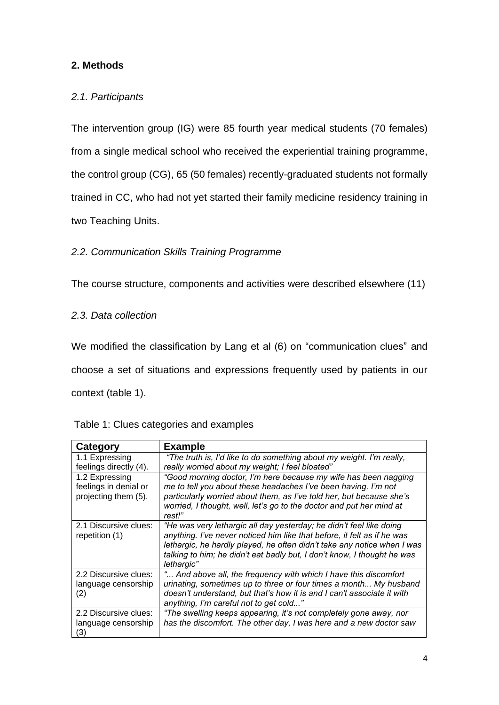### **2. Methods**

#### *2.1. Participants*

The intervention group (IG) were 85 fourth year medical students (70 females) from a single medical school who received the experiential training programme, the control group (CG), 65 (50 females) recently-graduated students not formally trained in CC, who had not yet started their family medicine residency training in two Teaching Units.

#### *2.2. Communication Skills Training Programme*

The course structure, components and activities were described elsewhere (11)

#### *2.3. Data collection*

We modified the classification by Lang et al (6) on "communication clues" and choose a set of situations and expressions frequently used by patients in our context (table 1).

| Category               | <b>Example</b>                                                          |
|------------------------|-------------------------------------------------------------------------|
| 1.1 Expressing         | "The truth is, I'd like to do something about my weight. I'm really,    |
| feelings directly (4). | really worried about my weight; I feel bloated"                         |
| 1.2 Expressing         | "Good morning doctor, I'm here because my wife has been nagging         |
| feelings in denial or  | me to tell you about these headaches I've been having. I'm not          |
| projecting them (5).   | particularly worried about them, as I've told her, but because she's    |
|                        | worried, I thought, well, let's go to the doctor and put her mind at    |
|                        | rest!"                                                                  |
| 2.1 Discursive clues:  | "He was very lethargic all day yesterday; he didn't feel like doing     |
| repetition (1)         | anything. I've never noticed him like that before, it felt as if he was |
|                        | lethargic, he hardly played, he often didn't take any notice when I was |
|                        | talking to him; he didn't eat badly but, I don't know, I thought he was |
|                        | lethargic"                                                              |
| 2.2 Discursive clues:  | " And above all, the frequency with which I have this discomfort        |
| language censorship    | urinating, sometimes up to three or four times a month My husband       |
| (2)                    | doesn't understand, but that's how it is and I can't associate it with  |
|                        | anything, I'm careful not to get cold"                                  |
| 2.2 Discursive clues:  | "The swelling keeps appearing, it's not completely gone away, nor       |
| language censorship    | has the discomfort. The other day, I was here and a new doctor saw      |
| (3)                    |                                                                         |

| Table 1: Clues categories and examples |  |  |  |  |  |  |
|----------------------------------------|--|--|--|--|--|--|
|----------------------------------------|--|--|--|--|--|--|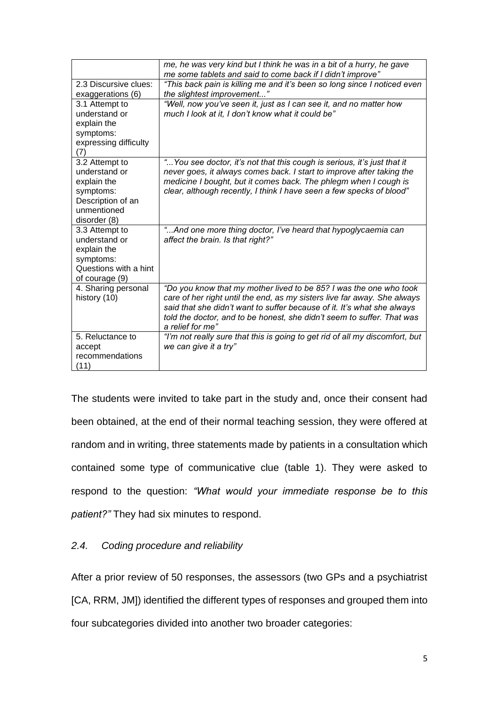|                       | me, he was very kind but I think he was in a bit of a hurry, he gave         |  |  |  |
|-----------------------|------------------------------------------------------------------------------|--|--|--|
|                       | me some tablets and said to come back if I didn't improve"                   |  |  |  |
| 2.3 Discursive clues: | "This back pain is killing me and it's been so long since I noticed even     |  |  |  |
| exaggerations (6)     | the slightest improvement"                                                   |  |  |  |
| 3.1 Attempt to        | "Well, now you've seen it, just as I can see it, and no matter how           |  |  |  |
| understand or         | much I look at it, I don't know what it could be"                            |  |  |  |
| explain the           |                                                                              |  |  |  |
| symptoms:             |                                                                              |  |  |  |
| expressing difficulty |                                                                              |  |  |  |
| (7)                   |                                                                              |  |  |  |
| 3.2 Attempt to        | " You see doctor, it's not that this cough is serious, it's just that it     |  |  |  |
| understand or         | never goes, it always comes back. I start to improve after taking the        |  |  |  |
| explain the           | medicine I bought, but it comes back. The phlegm when I cough is             |  |  |  |
| symptoms:             | clear, although recently, I think I have seen a few specks of blood"         |  |  |  |
| Description of an     |                                                                              |  |  |  |
| unmentioned           |                                                                              |  |  |  |
| disorder (8)          |                                                                              |  |  |  |
| 3.3 Attempt to        | " And one more thing doctor, I've heard that hypoglycaemia can               |  |  |  |
| understand or         | affect the brain. Is that right?"                                            |  |  |  |
| explain the           |                                                                              |  |  |  |
| symptoms:             |                                                                              |  |  |  |
| Questions with a hint |                                                                              |  |  |  |
| of courage (9)        |                                                                              |  |  |  |
| 4. Sharing personal   | "Do you know that my mother lived to be 85? I was the one who took           |  |  |  |
| history (10)          | care of her right until the end, as my sisters live far away. She always     |  |  |  |
|                       | said that she didn't want to suffer because of it. It's what she always      |  |  |  |
|                       | told the doctor, and to be honest, she didn't seem to suffer. That was       |  |  |  |
|                       | a relief for me"                                                             |  |  |  |
| 5. Reluctance to      | "I'm not really sure that this is going to get rid of all my discomfort, but |  |  |  |
| accept                | we can give it a try"                                                        |  |  |  |
| recommendations       |                                                                              |  |  |  |
| (11)                  |                                                                              |  |  |  |

The students were invited to take part in the study and, once their consent had been obtained, at the end of their normal teaching session, they were offered at random and in writing, three statements made by patients in a consultation which contained some type of communicative clue (table 1). They were asked to respond to the question: *"What would your immediate response be to this patient?"* They had six minutes to respond.

#### *2.4. Coding procedure and reliability*

After a prior review of 50 responses, the assessors (two GPs and a psychiatrist [CA, RRM, JM]) identified the different types of responses and grouped them into four subcategories divided into another two broader categories: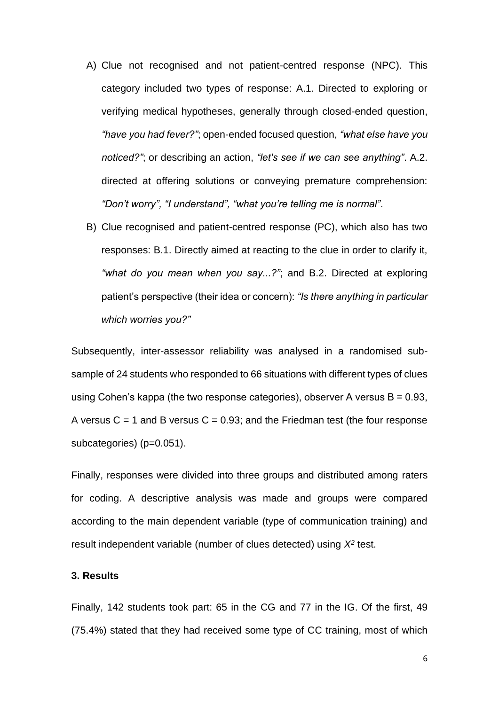- A) Clue not recognised and not patient-centred response (NPC). This category included two types of response: A.1. Directed to exploring or verifying medical hypotheses, generally through closed-ended question, *"have you had fever?"*; open-ended focused question, *"what else have you noticed?"*; or describing an action, *"let's see if we can see anything"*. A.2. directed at offering solutions or conveying premature comprehension: *"Don't worry", "I understand", "what you're telling me is normal"*.
- B) Clue recognised and patient-centred response (PC), which also has two responses: B.1. Directly aimed at reacting to the clue in order to clarify it, *"what do you mean when you say...?"*; and B.2. Directed at exploring patient's perspective (their idea or concern): *"Is there anything in particular which worries you?"*

Subsequently, inter-assessor reliability was analysed in a randomised subsample of 24 students who responded to 66 situations with different types of clues using Cohen's kappa (the two response categories), observer A versus  $B = 0.93$ , A versus  $C = 1$  and B versus  $C = 0.93$ ; and the Friedman test (the four response subcategories) (p=0.051).

Finally, responses were divided into three groups and distributed among raters for coding. A descriptive analysis was made and groups were compared according to the main dependent variable (type of communication training) and result independent variable (number of clues detected) using *X<sup>2</sup>* test.

#### **3. Results**

Finally, 142 students took part: 65 in the CG and 77 in the IG. Of the first, 49 (75.4%) stated that they had received some type of CC training, most of which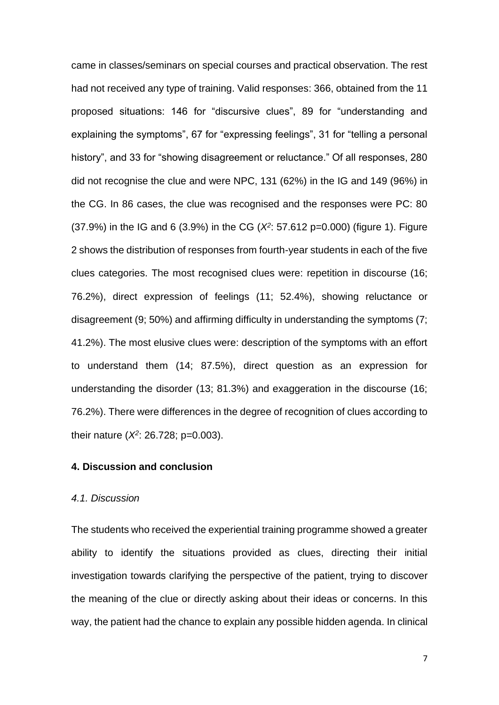came in classes/seminars on special courses and practical observation. The rest had not received any type of training. Valid responses: 366, obtained from the 11 proposed situations: 146 for "discursive clues", 89 for "understanding and explaining the symptoms", 67 for "expressing feelings", 31 for "telling a personal history", and 33 for "showing disagreement or reluctance." Of all responses, 280 did not recognise the clue and were NPC, 131 (62%) in the IG and 149 (96%) in the CG. In 86 cases, the clue was recognised and the responses were PC: 80 (37.9%) in the IG and 6 (3.9%) in the CG (*X<sup>2</sup>* : 57.612 p=0.000) (figure 1). Figure 2 shows the distribution of responses from fourth-year students in each of the five clues categories. The most recognised clues were: repetition in discourse (16; 76.2%), direct expression of feelings (11; 52.4%), showing reluctance or disagreement (9; 50%) and affirming difficulty in understanding the symptoms (7; 41.2%). The most elusive clues were: description of the symptoms with an effort to understand them (14; 87.5%), direct question as an expression for understanding the disorder (13; 81.3%) and exaggeration in the discourse (16; 76.2%). There were differences in the degree of recognition of clues according to their nature (*X<sup>2</sup>* : 26.728; p=0.003).

#### **4. Discussion and conclusion**

#### *4.1. Discussion*

The students who received the experiential training programme showed a greater ability to identify the situations provided as clues, directing their initial investigation towards clarifying the perspective of the patient, trying to discover the meaning of the clue or directly asking about their ideas or concerns. In this way, the patient had the chance to explain any possible hidden agenda. In clinical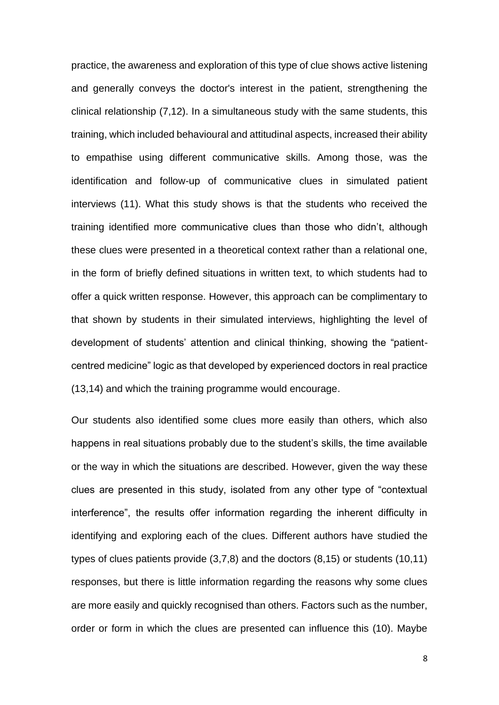practice, the awareness and exploration of this type of clue shows active listening and generally conveys the doctor's interest in the patient, strengthening the clinical relationship (7,12). In a simultaneous study with the same students, this training, which included behavioural and attitudinal aspects, increased their ability to empathise using different communicative skills. Among those, was the identification and follow-up of communicative clues in simulated patient interviews (11). What this study shows is that the students who received the training identified more communicative clues than those who didn't, although these clues were presented in a theoretical context rather than a relational one, in the form of briefly defined situations in written text, to which students had to offer a quick written response. However, this approach can be complimentary to that shown by students in their simulated interviews, highlighting the level of development of students' attention and clinical thinking, showing the "patientcentred medicine" logic as that developed by experienced doctors in real practice (13,14) and which the training programme would encourage.

Our students also identified some clues more easily than others, which also happens in real situations probably due to the student's skills, the time available or the way in which the situations are described. However, given the way these clues are presented in this study, isolated from any other type of "contextual interference", the results offer information regarding the inherent difficulty in identifying and exploring each of the clues. Different authors have studied the types of clues patients provide (3,7,8) and the doctors (8,15) or students (10,11) responses, but there is little information regarding the reasons why some clues are more easily and quickly recognised than others. Factors such as the number, order or form in which the clues are presented can influence this (10). Maybe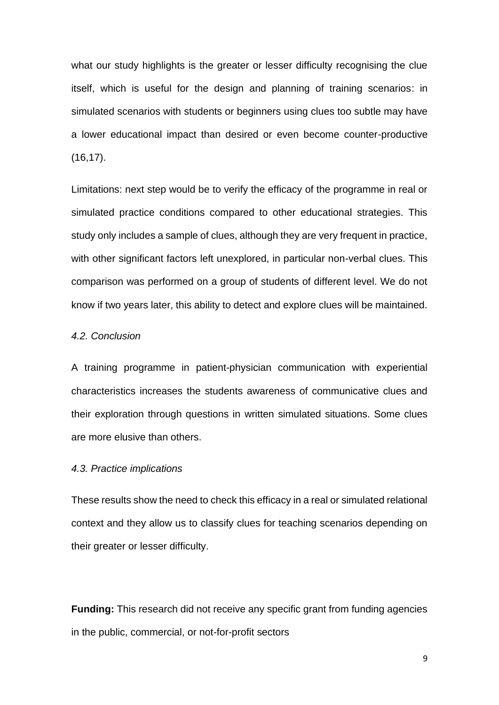what our study highlights is the greater or lesser difficulty recognising the clue itself, which is useful for the design and planning of training scenarios: in simulated scenarios with students or beginners using clues too subtle may have a lower educational impact than desired or even become counter-productive (16,17).

Limitations: next step would be to verify the efficacy of the programme in real or simulated practice conditions compared to other educational strategies. This study only includes a sample of clues, although they are very frequent in practice, with other significant factors left unexplored, in particular non-verbal clues. This comparison was performed on a group of students of different level. We do not know if two years later, this ability to detect and explore clues will be maintained.

#### *4.2. Conclusion*

A training programme in patient-physician communication with experiential characteristics increases the students awareness of communicative clues and their exploration through questions in written simulated situations. Some clues are more elusive than others.

#### *4.3. Practice implications*

These results show the need to check this efficacy in a real or simulated relational context and they allow us to classify clues for teaching scenarios depending on their greater or lesser difficulty.

**Funding:** This research did not receive any specific grant from funding agencies in the public, commercial, or not-for-profit sectors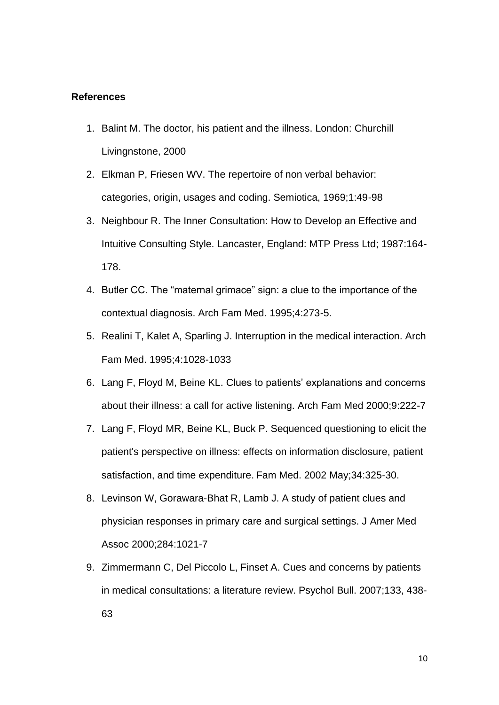#### **References**

- 1. Balint M. The doctor, his patient and the illness. London: Churchill Livingnstone, 2000
- 2. Elkman P, Friesen WV. The repertoire of non verbal behavior: categories, origin, usages and coding. Semiotica, 1969;1:49-98
- 3. Neighbour R. The Inner Consultation: How to Develop an Effective and Intuitive Consulting Style. Lancaster, England: MTP Press Ltd; 1987:164- 178.
- 4. Butler CC. The "maternal grimace" sign: a clue to the importance of the contextual diagnosis. Arch Fam Med. 1995;4:273-5.
- 5. Realini T, Kalet A, Sparling J. Interruption in the medical interaction. Arch Fam Med. 1995;4:1028-1033
- 6. Lang F, Floyd M, Beine KL. Clues to patients' explanations and concerns about their illness: a call for active listening. Arch Fam Med 2000;9:222-7
- 7. Lang F, Floyd MR, Beine KL, Buck P. Sequenced questioning to elicit the patient's perspective on illness: effects on information disclosure, patient satisfaction, and time expenditure. Fam Med. 2002 May;34:325-30.
- 8. Levinson W, Gorawara-Bhat R, Lamb J. A study of patient clues and physician responses in primary care and surgical settings. J Amer Med Assoc 2000;284:1021-7
- 9. Zimmermann C, Del Piccolo L, Finset A. Cues and concerns by patients in medical consultations: a literature review. Psychol Bull. 2007;133, 438- 63